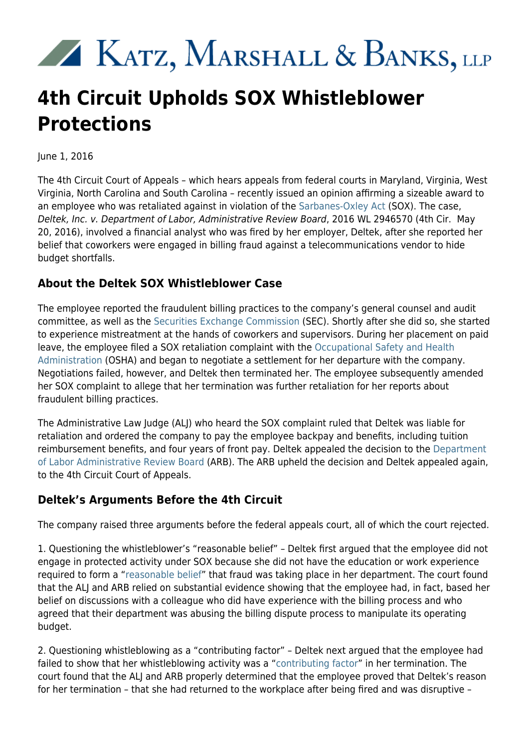# XX KATZ, MARSHALL & BANKS, LLP

## **4th Circuit Upholds SOX Whistleblower Protections**

June 1, 2016

The 4th Circuit Court of Appeals – which hears appeals from federal courts in Maryland, Virginia, West Virginia, North Carolina and South Carolina – recently issued an opinion affirming a sizeable award to an employee who was retaliated against in violation of the [Sarbanes-Oxley Act](http://www.kmblegal.com/practice-areas/whistleblower-law/corporate-accounting-fraud) (SOX). The case, Deltek, Inc. v. Department of Labor, Administrative Review Board, 2016 WL 2946570 (4th Cir. May 20, 2016), involved a financial analyst who was fired by her employer, Deltek, after she reported her belief that coworkers were engaged in billing fraud against a telecommunications vendor to hide budget shortfalls.

### **About the Deltek SOX Whistleblower Case**

The employee reported the fraudulent billing practices to the company's general counsel and audit committee, as well as the [Securities Exchange Commission](https://www.sec.gov/whistleblower) (SEC). Shortly after she did so, she started to experience mistreatment at the hands of coworkers and supervisors. During her placement on paid leave, the employee filed a SOX retaliation complaint with the [Occupational Safety and Health](http://www.whistleblowers.gov/) [Administration](http://www.whistleblowers.gov/) (OSHA) and began to negotiate a settlement for her departure with the company. Negotiations failed, however, and Deltek then terminated her. The employee subsequently amended her SOX complaint to allege that her termination was further retaliation for her reports about fraudulent billing practices.

The Administrative Law Judge (ALJ) who heard the SOX complaint ruled that Deltek was liable for retaliation and ordered the company to pay the employee backpay and benefits, including tuition reimbursement benefits, and four years of front pay. Deltek appealed the decision to the [Department](https://www.dol.gov/arb/welcome.html) [of Labor Administrative Review Board](https://www.dol.gov/arb/welcome.html) (ARB). The ARB upheld the decision and Deltek appealed again, to the 4th Circuit Court of Appeals.

#### **Deltek's Arguments Before the 4th Circuit**

The company raised three arguments before the federal appeals court, all of which the court rejected.

1. Questioning the whistleblower's "reasonable belief" – Deltek first argued that the employee did not engage in protected activity under SOX because she did not have the education or work experience required to form a ["reasonable belief"](http://www.kmblegal.com/whistleblower-blog/why-every-whistleblower-needs-understand-reasonable-belief-standard) that fraud was taking place in her department. The court found that the ALJ and ARB relied on substantial evidence showing that the employee had, in fact, based her belief on discussions with a colleague who did have experience with the billing process and who agreed that their department was abusing the billing dispute process to manipulate its operating budget.

2. Questioning whistleblowing as a "contributing factor" – Deltek next argued that the employee had failed to show that her whistleblowing activity was a "[contributing factor](http://www.kmblegal.com/whistleblower-law-blog/eight-whistleblower-law-terms-you-need-know)" in her termination. The court found that the ALJ and ARB properly determined that the employee proved that Deltek's reason for her termination – that she had returned to the workplace after being fired and was disruptive –